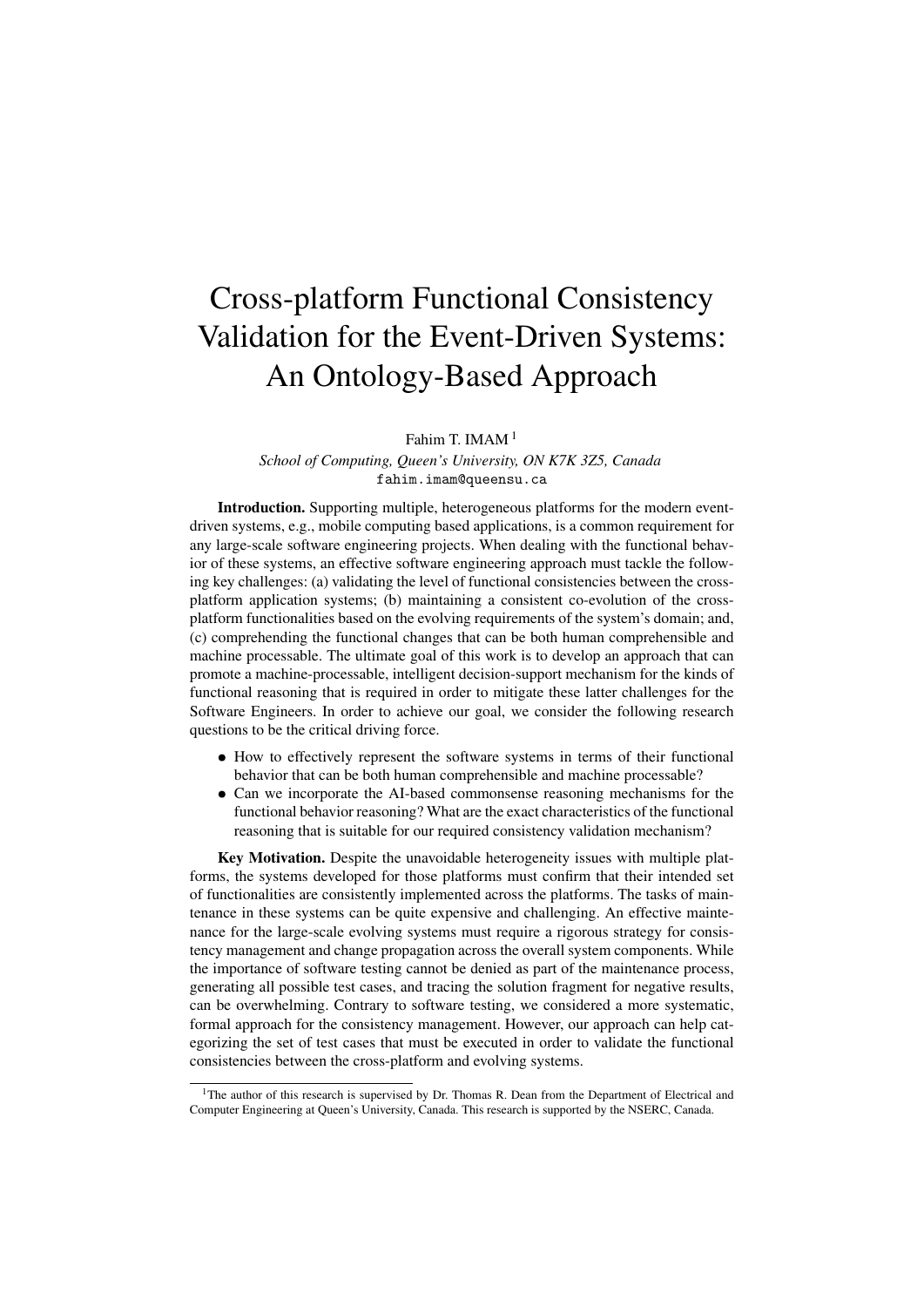## Cross-platform Functional Consistency Validation for the Event-Driven Systems: An Ontology-Based Approach

Fahim T. IMAM<sup>1</sup>

*School of Computing, Queen's University, ON K7K 3Z5, Canada* fahim.imam@queensu.ca

Introduction. Supporting multiple, heterogeneous platforms for the modern eventdriven systems, e.g., mobile computing based applications, is a common requirement for any large-scale software engineering projects. When dealing with the functional behavior of these systems, an effective software engineering approach must tackle the following key challenges: (a) validating the level of functional consistencies between the crossplatform application systems; (b) maintaining a consistent co-evolution of the crossplatform functionalities based on the evolving requirements of the system's domain; and, (c) comprehending the functional changes that can be both human comprehensible and machine processable. The ultimate goal of this work is to develop an approach that can promote a machine-processable, intelligent decision-support mechanism for the kinds of functional reasoning that is required in order to mitigate these latter challenges for the Software Engineers. In order to achieve our goal, we consider the following research questions to be the critical driving force.

- How to effectively represent the software systems in terms of their functional behavior that can be both human comprehensible and machine processable?
- Can we incorporate the AI-based commonsense reasoning mechanisms for the functional behavior reasoning? What are the exact characteristics of the functional reasoning that is suitable for our required consistency validation mechanism?

Key Motivation. Despite the unavoidable heterogeneity issues with multiple platforms, the systems developed for those platforms must confirm that their intended set of functionalities are consistently implemented across the platforms. The tasks of maintenance in these systems can be quite expensive and challenging. An effective maintenance for the large-scale evolving systems must require a rigorous strategy for consistency management and change propagation across the overall system components. While the importance of software testing cannot be denied as part of the maintenance process, generating all possible test cases, and tracing the solution fragment for negative results, can be overwhelming. Contrary to software testing, we considered a more systematic, formal approach for the consistency management. However, our approach can help categorizing the set of test cases that must be executed in order to validate the functional consistencies between the cross-platform and evolving systems.

<sup>&</sup>lt;sup>1</sup>The author of this research is supervised by Dr. Thomas R. Dean from the Department of Electrical and Computer Engineering at Queen's University, Canada. This research is supported by the NSERC, Canada.